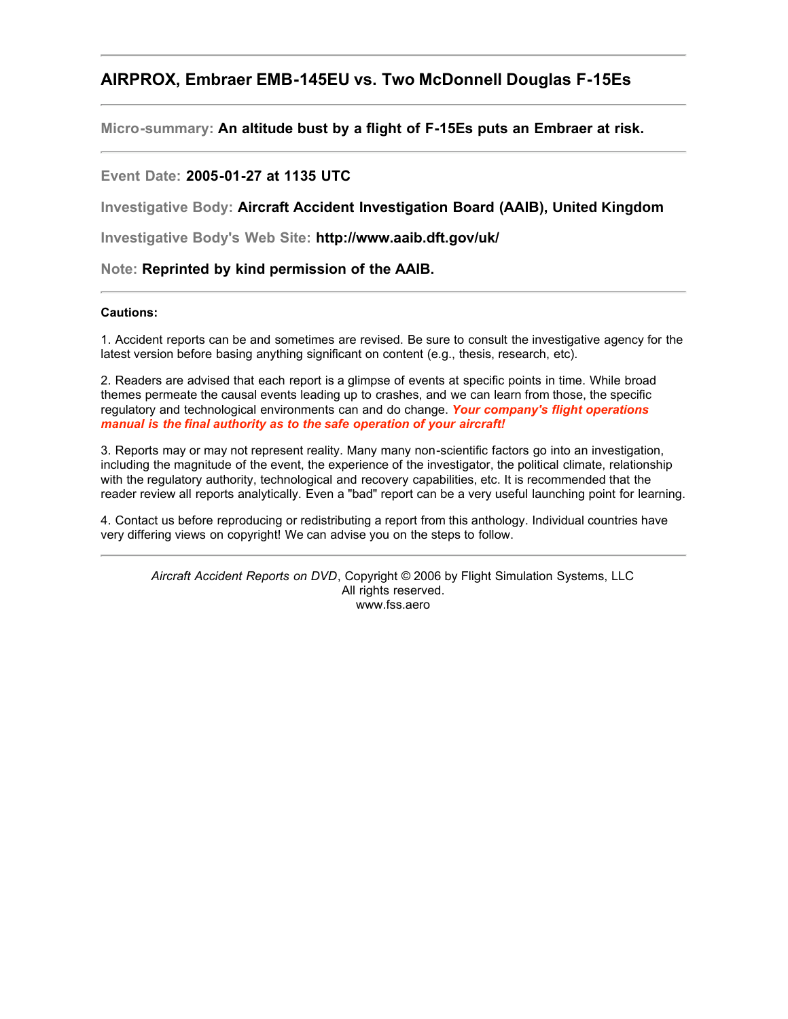# **AIRPROX, Embraer EMB-145EU vs. Two McDonnell Douglas F-15Es**

**Micro-summary: An altitude bust by a flight of F-15Es puts an Embraer at risk.**

### **Event Date: 2005-01-27 at 1135 UTC**

**Investigative Body: Aircraft Accident Investigation Board (AAIB), United Kingdom**

**Investigative Body's Web Site: http://www.aaib.dft.gov/uk/**

**Note: Reprinted by kind permission of the AAIB.**

#### **Cautions:**

1. Accident reports can be and sometimes are revised. Be sure to consult the investigative agency for the latest version before basing anything significant on content (e.g., thesis, research, etc).

2. Readers are advised that each report is a glimpse of events at specific points in time. While broad themes permeate the causal events leading up to crashes, and we can learn from those, the specific regulatory and technological environments can and do change. *Your company's flight operations manual is the final authority as to the safe operation of your aircraft!*

3. Reports may or may not represent reality. Many many non-scientific factors go into an investigation, including the magnitude of the event, the experience of the investigator, the political climate, relationship with the regulatory authority, technological and recovery capabilities, etc. It is recommended that the reader review all reports analytically. Even a "bad" report can be a very useful launching point for learning.

4. Contact us before reproducing or redistributing a report from this anthology. Individual countries have very differing views on copyright! We can advise you on the steps to follow.

*Aircraft Accident Reports on DVD*, Copyright © 2006 by Flight Simulation Systems, LLC All rights reserved. www.fss.aero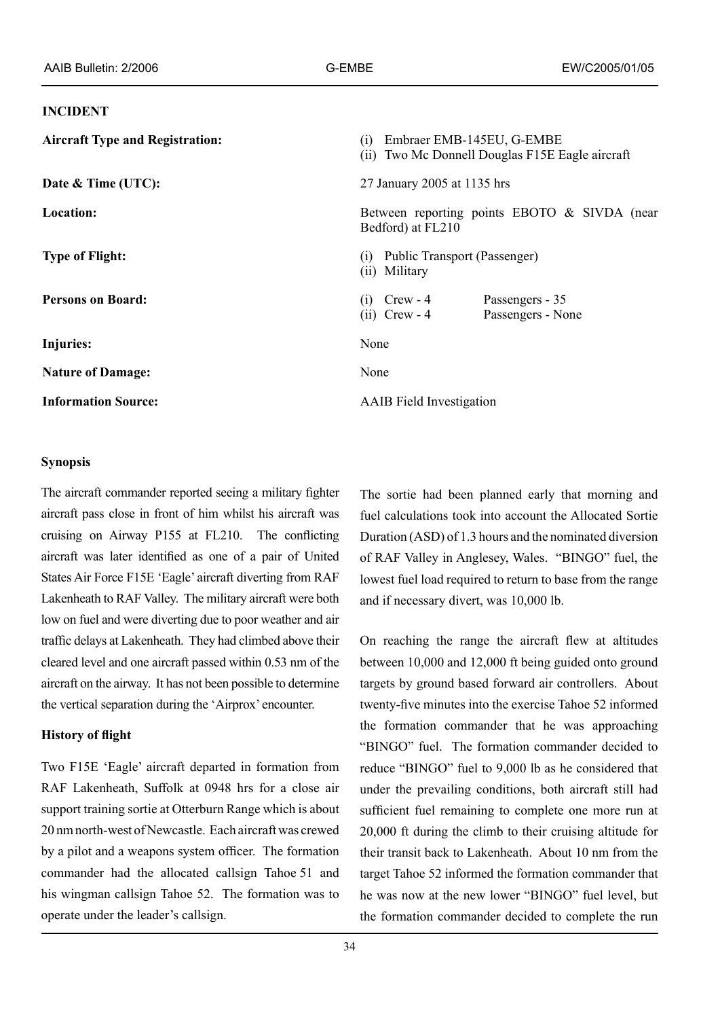#### **INCIDENT**

| <b>Aircraft Type and Registration:</b> | Embraer EMB-145EU, G-EMBE<br>(1)<br>(ii) Two Mc Donnell Douglas F15E Eagle aircraft |
|----------------------------------------|-------------------------------------------------------------------------------------|
| Date & Time (UTC):                     | 27 January 2005 at 1135 hrs                                                         |
| Location:                              | Between reporting points EBOTO & SIVDA (near<br>Bedford) at FL210                   |
| <b>Type of Flight:</b>                 | Public Transport (Passenger)<br>(1)<br>(ii) Military                                |
| <b>Persons on Board:</b>               | Passengers - 35<br>$C$ rew - 4<br>(1)<br>$(ii)$ Crew - 4<br>Passengers - None       |
| Injuries:                              | None                                                                                |
| <b>Nature of Damage:</b>               | None                                                                                |
| <b>Information Source:</b>             | <b>AAIB</b> Field Investigation                                                     |

### **Synopsis**

The aircraft commander reported seeing a military fighter aircraft pass close in front of him whilst his aircraft was cruising on Airway P155 at FL210. The conflicting aircraft was later identified as one of a pair of United States Air Force F15E 'Eagle' aircraft diverting from RAF Lakenheath to RAF Valley. The military aircraft were both low on fuel and were diverting due to poor weather and air traffic delays at Lakenheath. They had climbed above their cleared level and one aircraft passed within 0.53 nm of the aircraft on the airway. It has not been possible to determine the vertical separation during the 'Airprox' encounter.

### **History of flight**

Two F15E 'Eagle' aircraft departed in formation from RAF Lakenheath, Suffolk at 0948 hrs for a close air support training sortie at Otterburn Range which is about 20 nm north-west of Newcastle. Each aircraft was crewed by a pilot and a weapons system officer. The formation commander had the allocated callsign Tahoe 51 and his wingman callsign Tahoe 52. The formation was to operate under the leader's callsign.

The sortie had been planned early that morning and fuel calculations took into account the Allocated Sortie Duration (ASD) of 1.3 hours and the nominated diversion of RAF Valley in Anglesey, Wales. "BINGO" fuel, the lowest fuel load required to return to base from the range and if necessary divert, was 10,000 lb.

On reaching the range the aircraft flew at altitudes between 10,000 and 12,000 ft being guided onto ground targets by ground based forward air controllers. About twenty-five minutes into the exercise Tahoe 52 informed the formation commander that he was approaching "BINGO" fuel. The formation commander decided to reduce "BINGO" fuel to 9,000 lb as he considered that under the prevailing conditions, both aircraft still had sufficient fuel remaining to complete one more run at 20,000 ft during the climb to their cruising altitude for their transit back to Lakenheath. About 10 nm from the target Tahoe 52 informed the formation commander that he was now at the new lower "BINGO" fuel level, but the formation commander decided to complete the run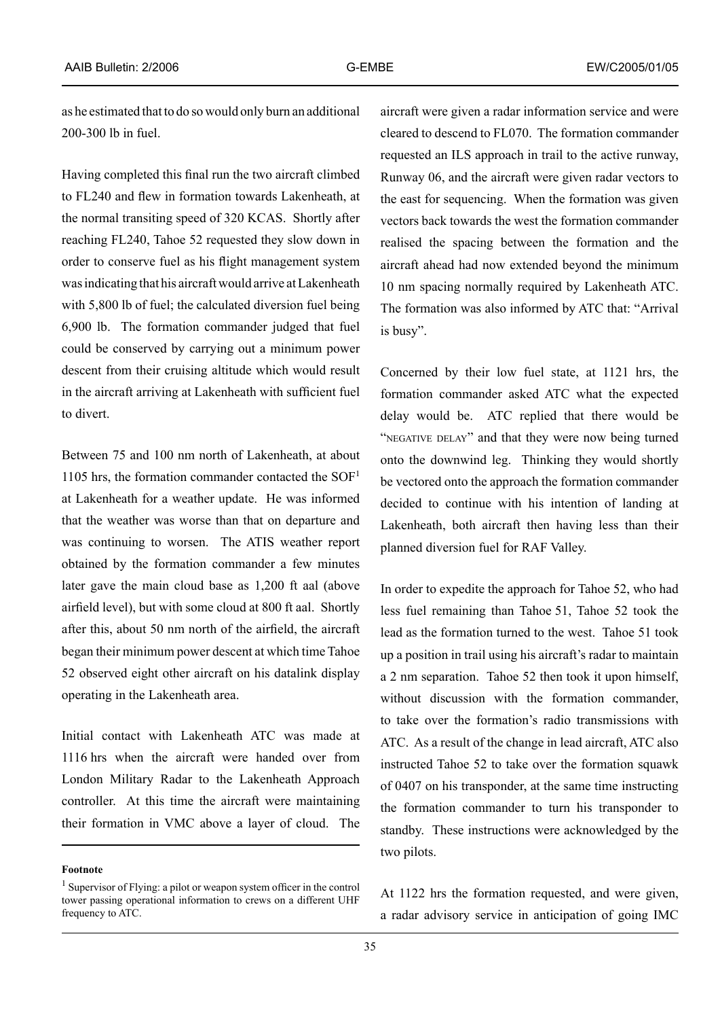as he estimated that to do so would only burn an additional 200-300 lb in fuel.

Having completed this final run the two aircraft climbed to FL240 and flew in formation towards Lakenheath, at the normal transiting speed of 320 KCAS. Shortly after reaching FL240, Tahoe 52 requested they slow down in order to conserve fuel as his flight management system was indicating that his aircraft would arrive at Lakenheath with 5,800 lb of fuel; the calculated diversion fuel being 6,900 lb. The formation commander judged that fuel could be conserved by carrying out a minimum power descent from their cruising altitude which would result in the aircraft arriving at Lakenheath with sufficient fuel to divert.

Between 75 and 100 nm north of Lakenheath, at about 1105 hrs, the formation commander contacted the  $SOF<sup>1</sup>$ at Lakenheath for a weather update. He was informed that the weather was worse than that on departure and was continuing to worsen. The ATIS weather report obtained by the formation commander a few minutes later gave the main cloud base as 1,200 ft aal (above airfield level), but with some cloud at 800 ft aal. Shortly after this, about 50 nm north of the airfield, the aircraft began their minimum power descent at which time Tahoe 52 observed eight other aircraft on his datalink display operating in the Lakenheath area.

Initial contact with Lakenheath ATC was made at 1116 hrs when the aircraft were handed over from London Military Radar to the Lakenheath Approach controller. At this time the aircraft were maintaining their formation in VMC above a layer of cloud. The

**Footnote**

aircraft were given a radar information service and were cleared to descend to FL070. The formation commander requested an ILS approach in trail to the active runway, Runway 06, and the aircraft were given radar vectors to the east for sequencing. When the formation was given vectors back towards the west the formation commander realised the spacing between the formation and the aircraft ahead had now extended beyond the minimum 10 nm spacing normally required by Lakenheath ATC. The formation was also informed by ATC that: "Arrival is busy".

Concerned by their low fuel state, at 1121 hrs, the formation commander asked ATC what the expected delay would be. ATC replied that there would be "NEGATIVE DELAY" and that they were now being turned onto the downwind leg. Thinking they would shortly be vectored onto the approach the formation commander decided to continue with his intention of landing at Lakenheath, both aircraft then having less than their planned diversion fuel for RAF Valley.

In order to expedite the approach for Tahoe 52, who had less fuel remaining than Tahoe 51, Tahoe 52 took the lead as the formation turned to the west. Tahoe 51 took up a position in trail using his aircraft's radar to maintain a 2 nm separation. Tahoe 52 then took it upon himself, without discussion with the formation commander, to take over the formation's radio transmissions with ATC. As a result of the change in lead aircraft, ATC also instructed Tahoe 52 to take over the formation squawk of 0407 on his transponder, at the same time instructing the formation commander to turn his transponder to standby. These instructions were acknowledged by the two pilots.

At 1122 hrs the formation requested, and were given, a radar advisory service in anticipation of going IMC

<sup>1</sup> Supervisor of Flying: a pilot or weapon system officer in the control tower passing operational information to crews on a different UHF frequency to ATC.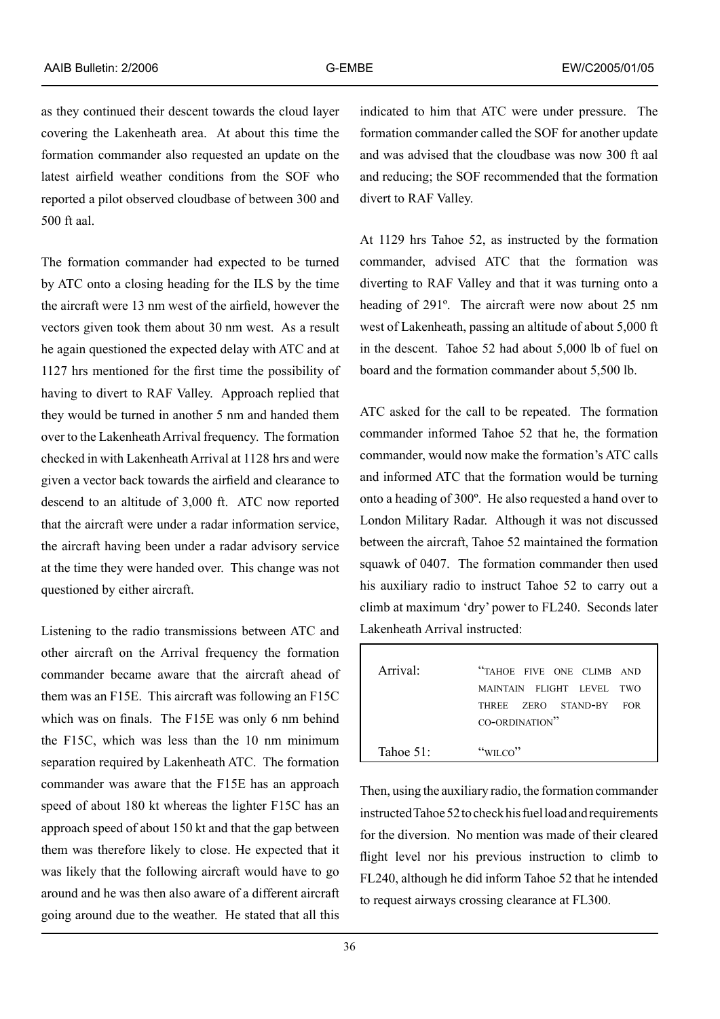as they continued their descent towards the cloud layer covering the Lakenheath area. At about this time the formation commander also requested an update on the latest airfield weather conditions from the SOF who reported a pilot observed cloudbase of between 300 and 500 ft aal.

The formation commander had expected to be turned by ATC onto a closing heading for the ILS by the time the aircraft were 13 nm west of the airfield, however the vectors given took them about 30 nm west. As a result he again questioned the expected delay with ATC and at 1127 hrs mentioned for the first time the possibility of having to divert to RAF Valley. Approach replied that they would be turned in another 5 nm and handed them over to the Lakenheath Arrival frequency. The formation checked in with Lakenheath Arrival at 1128 hrs and were given a vector back towards the airfield and clearance to descend to an altitude of 3,000 ft. ATC now reported that the aircraft were under a radar information service, the aircraft having been under a radar advisory service at the time they were handed over. This change was not questioned by either aircraft.

Listening to the radio transmissions between ATC and other aircraft on the Arrival frequency the formation commander became aware that the aircraft ahead of them was an F15E. This aircraft was following an F15C which was on finals. The F15E was only 6 nm behind the F15C, which was less than the 10 nm minimum separation required by Lakenheath ATC. The formation commander was aware that the F15E has an approach speed of about 180 kt whereas the lighter F15C has an approach speed of about 150 kt and that the gap between them was therefore likely to close. He expected that it was likely that the following aircraft would have to go around and he was then also aware of a different aircraft going around due to the weather. He stated that all this

indicated to him that ATC were under pressure. The formation commander called the SOF for another update and was advised that the cloudbase was now 300 ft aal and reducing; the SOF recommended that the formation divert to RAF Valley.

At 1129 hrs Tahoe 52, as instructed by the formation commander, advised ATC that the formation was diverting to RAF Valley and that it was turning onto a heading of 291º. The aircraft were now about 25 nm west of Lakenheath, passing an altitude of about 5,000 ft in the descent. Tahoe 52 had about 5,000 lb of fuel on board and the formation commander about 5,500 lb.

ATC asked for the call to be repeated. The formation commander informed Tahoe 52 that he, the formation commander, would now make the formation's ATC calls and informed ATC that the formation would be turning onto a heading of 300º. He also requested a hand over to London Military Radar. Although it was not discussed between the aircraft, Tahoe 52 maintained the formation squawk of 0407. The formation commander then used his auxiliary radio to instruct Tahoe 52 to carry out a climb at maximum 'dry' power to FL240. Seconds later Lakenheath Arrival instructed:

| Arrival'   | "TAHOE FIVE ONE CLIMB AND |
|------------|---------------------------|
|            | MAINTAIN FLIGHT LEVEL TWO |
|            | THREE ZERO STAND-BY FOR   |
|            | CO-ORDINATION"            |
|            |                           |
| Tahoe $51$ | " $WILCO$ "               |

Then, using the auxiliary radio, the formation commander instructed Tahoe 52 to check his fuel load and requirements for the diversion. No mention was made of their cleared flight level nor his previous instruction to climb to FL240, although he did inform Tahoe 52 that he intended to request airways crossing clearance at FL300.

г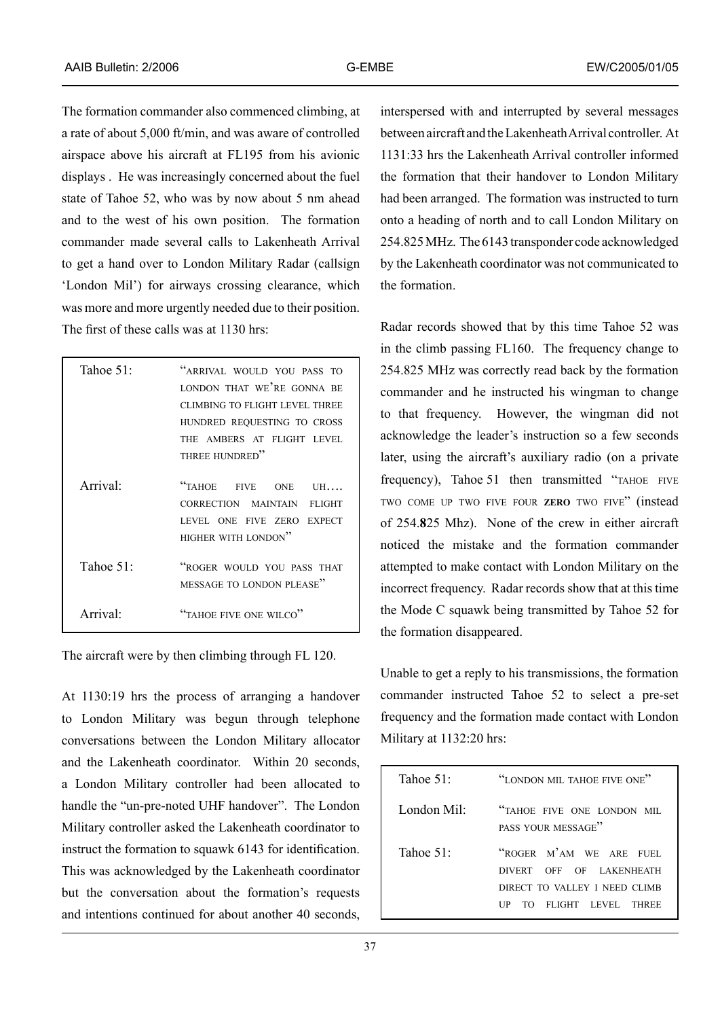The formation commander also commenced climbing, at a rate of about 5,000 ft/min, and was aware of controlled airspace above his aircraft at FL195 from his avionic displays . He was increasingly concerned about the fuel state of Tahoe 52, who was by now about 5 nm ahead and to the west of his own position. The formation commander made several calls to Lakenheath Arrival to get a hand over to London Military Radar (callsign 'London Mil') for airways crossing clearance, which was more and more urgently needed due to their position. The first of these calls was at 1130 hrs:

| Tahoe 51:               | "ARRIVAL WOULD YOU PASS TO<br>LONDON THAT WE'RE GONNA BE<br>CLIMBING TO FLIGHT LEVEL THREE<br>HUNDRED REQUESTING TO CROSS<br>THE AMBERS AT FLIGHT LEVEL<br>THREE HUNDRED" |
|-------------------------|---------------------------------------------------------------------------------------------------------------------------------------------------------------------------|
| Arrival <sup>-</sup>    | "TAHOE FIVE ONE UH<br>CORRECTION MAINTAIN FLIGHT<br>LEVEL ONE FIVE ZERO EXPECT<br>HIGHER WITH LONDON"                                                                     |
| Tahoe $51$ <sup>.</sup> | "ROGER WOULD YOU PASS THAT<br>MESSAGE TO LONDON PLEASE"                                                                                                                   |
| Arrival·                | "TAHOE FIVE ONE WILCO"                                                                                                                                                    |

The aircraft were by then climbing through FL 120.

At 1130:19 hrs the process of arranging a handover to London Military was begun through telephone conversations between the London Military allocator and the Lakenheath coordinator. Within 20 seconds, a London Military controller had been allocated to handle the "un-pre-noted UHF handover". The London Military controller asked the Lakenheath coordinator to instruct the formation to squawk 6143 for identification. This was acknowledged by the Lakenheath coordinator but the conversation about the formation's requests and intentions continued for about another 40 seconds,

interspersed with and interrupted by several messages between aircraft and the Lakenheath Arrival controller. At 1131:33 hrs the Lakenheath Arrival controller informed the formation that their handover to London Military had been arranged. The formation was instructed to turn onto a heading of north and to call London Military on 254.825 MHz. The 6143 transponder code acknowledged by the Lakenheath coordinator was not communicated to the formation.

Radar records showed that by this time Tahoe 52 was in the climb passing FL160. The frequency change to 254.825 MHz was correctly read back by the formation commander and he instructed his wingman to change to that frequency. However, the wingman did not acknowledge the leader's instruction so a few seconds later, using the aircraft's auxiliary radio (on a private frequency), Tahoe 51 then transmitted "TAHOE FIVE TWO COME UP TWO FIVE FOUR **ZERO** TWO FIVE" (instead of 254.**8**25 Mhz). None of the crew in either aircraft noticed the mistake and the formation commander attempted to make contact with London Military on the incorrect frequency. Radar records show that at this time the Mode C squawk being transmitted by Tahoe 52 for the formation disappeared.

Unable to get a reply to his transmissions, the formation commander instructed Tahoe 52 to select a pre-set frequency and the formation made contact with London Military at 1132:20 hrs:

| Tahoe $512$             | "LONDON MIL TAHOE FIVE ONE"                                                                                         |
|-------------------------|---------------------------------------------------------------------------------------------------------------------|
| London Mil <sup>-</sup> | "TAHOE FIVE ONE LONDON MIL<br>PASS YOUR MESSAGE"                                                                    |
| Tahoe $512$             | "ROGER M'AM WE ARE FUEL<br>DIVERT OFF OF LAKENHEATH<br>DIRECT TO VALLEY I NEED CLIMB<br>TO FLIGHT LEVEL THREE<br>UР |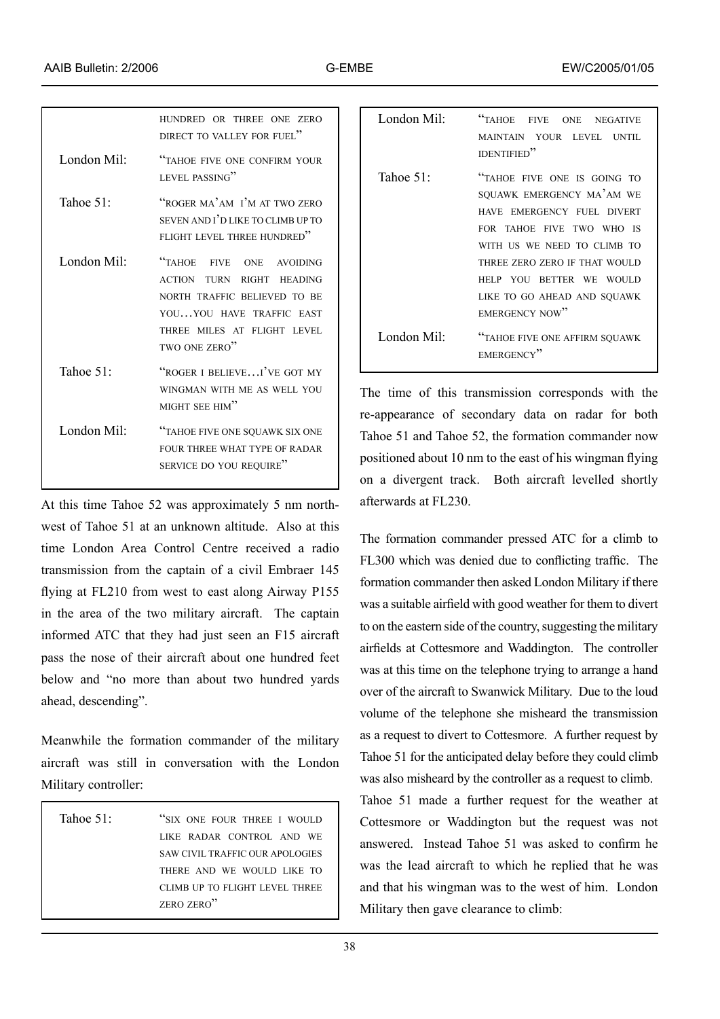|                         | HUNDRED OR THREE ONE ZERO<br>DIRECT TO VALLEY FOR FUEL"                                                                                                                     |
|-------------------------|-----------------------------------------------------------------------------------------------------------------------------------------------------------------------------|
| London Mil:             | "TAHOE FIVE ONE CONFIRM YOUR<br>LEVEL PASSING"                                                                                                                              |
| Tahoe $511$             | "ROGER MA'AM I'M AT TWO ZERO<br>SEVEN AND I'D LIKE TO CLIMB UP TO<br>FLIGHT LEVEL THREE HUNDRED"                                                                            |
| London Mil <sup>-</sup> | "TAHOE FIVE<br>ONE AVOIDING<br><b>ACTION TURN RIGHT HEADING</b><br>NORTH TRAFFIC BELIEVED TO BE<br>YOUYOU HAVE TRAFFIC EAST<br>THREE MILES AT FLIGHT LEVEL<br>TWO ONE ZERO" |
| Tahoe $51$ :            | "ROGER I BELIEVEI'VE GOT MY<br>WINGMAN WITH ME AS WELL YOU<br>MIGHT SEE HIM"                                                                                                |
| London Mil $\cdot$      | "TAHOE FIVE ONE SQUAWK SIX ONE<br>FOUR THREE WHAT TYPE OF RADAR<br>SERVICE DO YOU REQUIRE"                                                                                  |

At this time Tahoe 52 was approximately 5 nm northwest of Tahoe 51 at an unknown altitude. Also at this time London Area Control Centre received a radio transmission from the captain of a civil Embraer 145 flying at FL210 from west to east along Airway P155 in the area of the two military aircraft. The captain informed ATC that they had just seen an F15 aircraft pass the nose of their aircraft about one hundred feet below and "no more than about two hundred yards ahead, descending".

Meanwhile the formation commander of the military aircraft was still in conversation with the London Military controller:

| Tahoe $511$ | "SIX ONE FOUR THREE I WOULD     |
|-------------|---------------------------------|
|             | LIKE RADAR CONTROL AND WE       |
|             | SAW CIVIL TRAFFIC OUR APOLOGIES |
|             | THERE AND WE WOULD LIKE TO      |
|             | CLIMB UP TO FLIGHT LEVEL THREE  |
|             | ZERO ZERO"                      |
|             |                                 |

| London Mil $\cdot$ | "TAHOE<br><b>FIVE</b><br>ONE NEGATIVE<br>MAINTAIN YOUR LEVEL UNTIL<br><b>IDENTIFIED"</b>                                                                                                                                                                         |
|--------------------|------------------------------------------------------------------------------------------------------------------------------------------------------------------------------------------------------------------------------------------------------------------|
| Tahoe $511$        | "TAHOE FIVE ONE IS GOING TO<br>SQUAWK EMERGENCY MA'AM WE<br>HAVE EMERGENCY FUEL DIVERT<br>FOR TAHOE FIVE TWO WHO IS<br>WITH US WE NEED TO CLIMB TO<br>THREE ZERO ZERO IF THAT WOULD<br>HELP YOU BETTER WE WOULD<br>LIKE TO GO AHEAD AND SOUAWK<br>EMERGENCY NOW" |
| London Mil $\cdot$ | "TAHOE FIVE ONE AFFIRM SQUAWK<br>EMERGENCY"                                                                                                                                                                                                                      |

The time of this transmission corresponds with the re-appearance of secondary data on radar for both Tahoe 51 and Tahoe 52, the formation commander now positioned about 10 nm to the east of his wingman flying on a divergent track. Both aircraft levelled shortly afterwards at FL230.

The formation commander pressed ATC for a climb to FL300 which was denied due to conflicting traffic. The formation commander then asked London Military if there was a suitable airfield with good weather for them to divert to on the eastern side of the country, suggesting the military airfields at Cottesmore and Waddington. The controller was at this time on the telephone trying to arrange a hand over of the aircraft to Swanwick Military. Due to the loud volume of the telephone she misheard the transmission as a request to divert to Cottesmore. A further request by Tahoe 51 for the anticipated delay before they could climb was also misheard by the controller as a request to climb.

Tahoe 51 made a further request for the weather at Cottesmore or Waddington but the request was not answered. Instead Tahoe 51 was asked to confirm he was the lead aircraft to which he replied that he was and that his wingman was to the west of him. London Military then gave clearance to climb: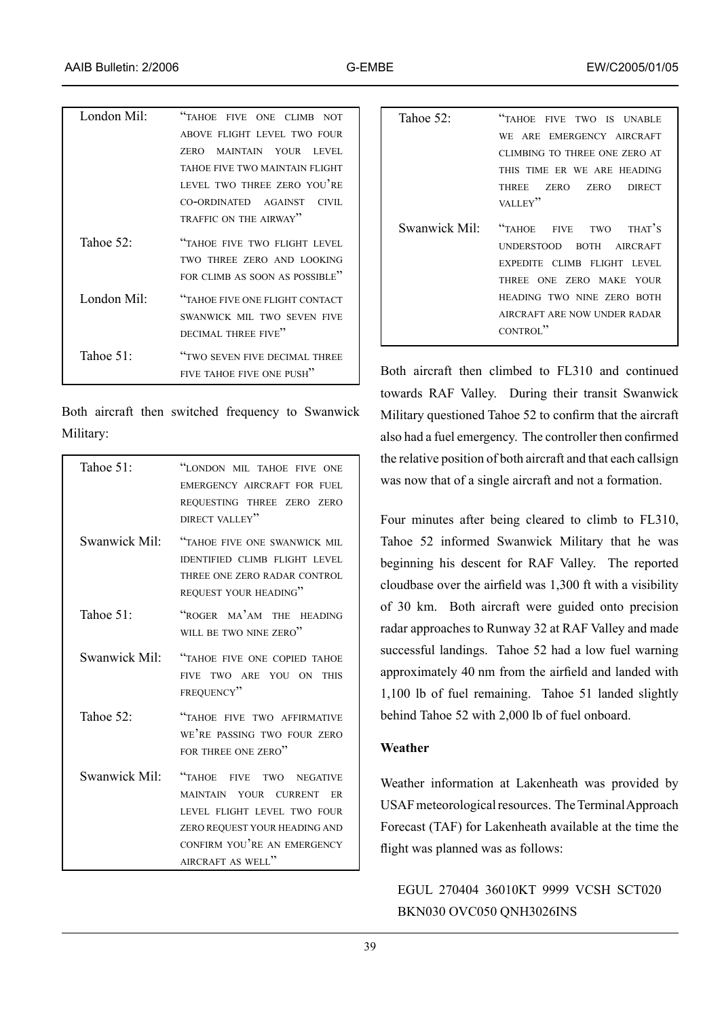| London Mil $\cdot$ | "TAHOE FIVE ONE CLIMB NOT                                                                    |
|--------------------|----------------------------------------------------------------------------------------------|
|                    | ABOVE FLIGHT LEVEL TWO FOUR                                                                  |
|                    | ZERO MAINTAIN YOUR LEVEL                                                                     |
|                    | TAHOE FIVE TWO MAINTAIN FLIGHT                                                               |
|                    | LEVEL TWO THREE ZERO YOU'RE                                                                  |
|                    | CO-ORDINATED AGAINST<br>CIVII.                                                               |
|                    | TRAFFIC ON THE AIRWAY"                                                                       |
| Tahoe 52 $\cdot$   | "TAHOE FIVE TWO FLIGHT LEVEL<br>TWO THREE ZERO AND LOOKING<br>FOR CLIMB AS SOON AS POSSIBLE" |
| London Mil $\cdot$ | <b>"TAHOE FIVE ONE FLIGHT CONTACT</b>                                                        |
|                    | SWANWICK MIL TWO SEVEN FIVE                                                                  |
|                    | DECIMAL THREE FIVE"                                                                          |
| Tahoe 51 $\cdot$   | "TWO SEVEN FIVE DECIMAL THREE                                                                |
|                    | FIVE TAHOE FIVE ONE PUSH"                                                                    |

Both aircraft then switched frequency to Swanwick Military:

| Tahoe $51$ <sup>.</sup>   | "LONDON MIL TAHOE FIVE ONE<br>EMERGENCY AIRCRAFT FOR FUEL<br>REQUESTING THREE ZERO ZERO<br>DIRECT VALLEY"                                                                      |
|---------------------------|--------------------------------------------------------------------------------------------------------------------------------------------------------------------------------|
| Swanwick Mil:             | "TAHOE FIVE ONE SWANWICK MIL<br><b>IDENTIFIED CLIMB FLIGHT LEVEL</b><br>THREE ONE ZERO RADAR CONTROL<br>REQUEST YOUR HEADING"                                                  |
| Tahoe 51:                 | "ROGER MA'AM THE HEADING<br>WILL BE TWO NINE ZERO"                                                                                                                             |
| Swanwick Mil <sup>.</sup> | "TAHOE FIVE ONE COPIED TAHOE<br>FIVE TWO ARE YOU ON<br><b>THIS</b><br>FREQUENCY"                                                                                               |
| Tahoe 52 $\cdot$          | "TAHOE FIVE TWO AFFIRMATIVE<br>WE'RE PASSING TWO FOUR ZERO<br>FOR THREE ONE ZERO"                                                                                              |
| Swanwick Mil <sup>.</sup> | "TAHOE<br>FIVE TWO NEGATIVE<br>MAINTAIN YOUR CURRENT<br>ER<br>LEVEL FLIGHT LEVEL TWO FOUR<br>ZERO REQUEST YOUR HEADING AND<br>CONFIRM YOU'RE AN EMERGENCY<br>AIRCRAFT AS WELL" |

| Tahoe $522$ | "TAHOE<br>FIVE TWO IS UNABLE             |
|-------------|------------------------------------------|
|             | WE ARE EMERGENCY AIRCRAFT                |
|             | CLIMBING TO THREE ONE ZERO AT            |
|             | THIS TIME ER WE ARE HEADING              |
|             | THREE ZERO ZERO DIRECT                   |
|             | VALLEY"                                  |
|             | Swanwick Mil: "TAHOE FIVE TWO THAT'S     |
|             | UNDERSTOOD BOTH AIRCRAFT                 |
|             | EXPEDITE CLIMB FLIGHT LEVEL              |
|             | THREE ONE ZERO MAKE YOUR                 |
|             | HEADING TWO NINE ZERO BOTH               |
|             | AIRCRAFT ARE NOW UNDER RADAR<br>CONTROL" |

Both aircraft then climbed to FL310 and continued towards RAF Valley. During their transit Swanwick Military questioned Tahoe 52 to confirm that the aircraft also had a fuel emergency. The controller then confirmed the relative position of both aircraft and that each callsign was now that of a single aircraft and not a formation.

Four minutes after being cleared to climb to FL310, Tahoe 52 informed Swanwick Military that he was beginning his descent for RAF Valley. The reported cloudbase over the airfield was 1,300 ft with a visibility of 30 km. Both aircraft were guided onto precision radar approaches to Runway 32 at RAF Valley and made successful landings. Tahoe 52 had a low fuel warning approximately 40 nm from the airfield and landed with 1,100 lb of fuel remaining. Tahoe 51 landed slightly behind Tahoe 52 with 2,000 lb of fuel onboard.

## **Weather**

Weather information at Lakenheath was provided by USAF meteorological resources. The Terminal Approach Forecast (TAF) for Lakenheath available at the time the flight was planned was as follows:

EGUL 270404 36010KT 9999 VCSH SCT020 BKN030 OVC050 QNH3026INS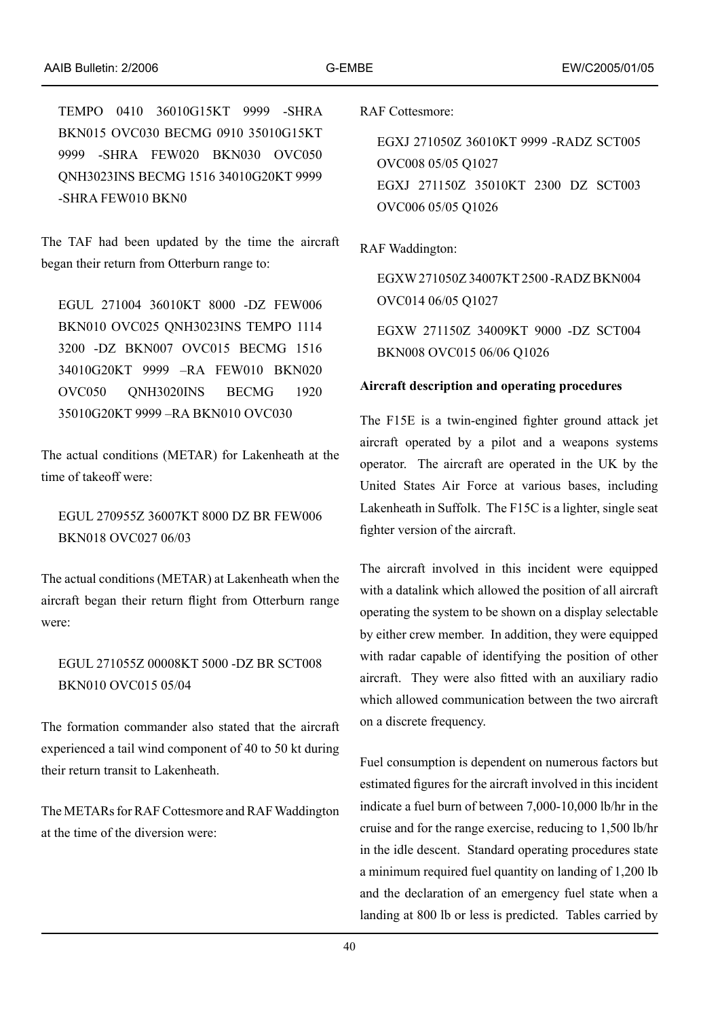TEMPO 0410 36010G15KT 9999 -SHRA BKN015 OVC030 BECMG 0910 35010G15KT 9999 -SHRA FEW020 BKN030 OVC050 QNH3023INS BECMG 1516 34010G20KT 9999 -SHRA FEW010 BKN0

The TAF had been updated by the time the aircraft began their return from Otterburn range to:

EGUL 271004 36010KT 8000 -DZ FEW006 BKN010 OVC025 QNH3023INS TEMPO 1114 3200 -DZ BKN007 OVC015 BECMG 1516 34010G20KT 9999 –RA FEW010 BKN020 OVC050 QNH3020INS BECMG 1920 35010G20KT 9999 –RA BKN010 OVC030

The actual conditions (METAR) for Lakenheath at the time of takeoff were:

EGUL 270955Z 36007KT 8000 DZ BR FEW006 BKN018 OVC027 06/03

The actual conditions (METAR) at Lakenheath when the aircraft began their return flight from Otterburn range were:

EGUL 271055Z 00008KT 5000 -DZ BR SCT008 BKN010 OVC015 05/04

The formation commander also stated that the aircraft experienced a tail wind component of 40 to 50 kt during their return transit to Lakenheath.

The METARs for RAF Cottesmore and RAF Waddington at the time of the diversion were:

RAF Cottesmore:

EGXJ 271050Z 36010KT 9999 -RADZ SCT005 OVC008 05/05 Q1027 EGXJ 271150Z 35010KT 2300 DZ SCT003 OVC006 05/05 Q1026

RAF Waddington:

EGXW 271050Z 34007KT 2500 -RADZ BKN004 OVC014 06/05 Q1027

EGXW 271150Z 34009KT 9000 -DZ SCT004 BKN008 OVC015 06/06 Q1026

#### **Aircraft description and operating procedures**

The F15E is a twin-engined fighter ground attack jet aircraft operated by a pilot and a weapons systems operator. The aircraft are operated in the UK by the United States Air Force at various bases, including Lakenheath in Suffolk. The F15C is a lighter, single seat fighter version of the aircraft.

The aircraft involved in this incident were equipped with a datalink which allowed the position of all aircraft operating the system to be shown on a display selectable by either crew member. In addition, they were equipped with radar capable of identifying the position of other aircraft. They were also fitted with an auxiliary radio which allowed communication between the two aircraft on a discrete frequency.

Fuel consumption is dependent on numerous factors but estimated figures for the aircraft involved in this incident indicate a fuel burn of between 7,000-10,000 lb/hr in the cruise and for the range exercise, reducing to 1,500 lb/hr in the idle descent. Standard operating procedures state a minimum required fuel quantity on landing of 1,200 lb and the declaration of an emergency fuel state when a landing at 800 lb or less is predicted. Tables carried by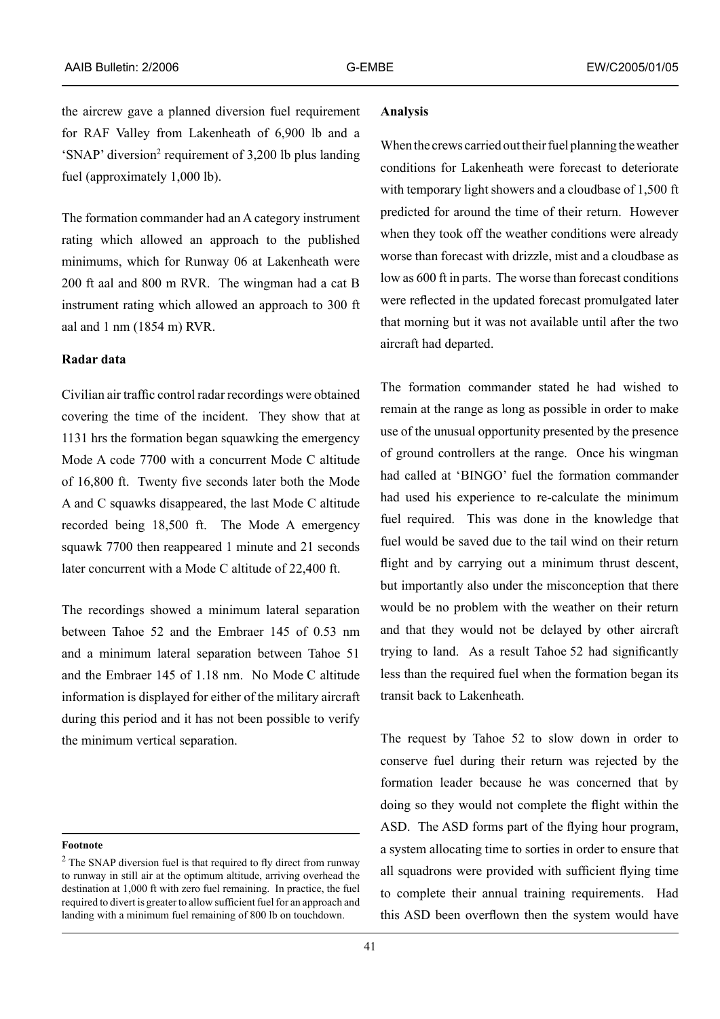the aircrew gave a planned diversion fuel requirement for RAF Valley from Lakenheath of 6,900 lb and a 'SNAP' diversion<sup>2</sup> requirement of 3,200 lb plus landing fuel (approximately 1,000 lb).

The formation commander had an A category instrument rating which allowed an approach to the published minimums, which for Runway 06 at Lakenheath were 200 ft aal and 800 m RVR. The wingman had a cat B instrument rating which allowed an approach to 300 ft aal and 1 nm (1854 m) RVR.

#### **Radar data**

Civilian air traffic control radar recordings were obtained covering the time of the incident. They show that at 1131 hrs the formation began squawking the emergency Mode A code 7700 with a concurrent Mode C altitude of 16,800 ft. Twenty five seconds later both the Mode A and C squawks disappeared, the last Mode C altitude recorded being 18,500 ft. The Mode A emergency squawk 7700 then reappeared 1 minute and 21 seconds later concurrent with a Mode C altitude of 22,400 ft.

The recordings showed a minimum lateral separation between Tahoe 52 and the Embraer 145 of 0.53 nm and a minimum lateral separation between Tahoe 51 and the Embraer 145 of 1.18 nm. No Mode C altitude information is displayed for either of the military aircraft during this period and it has not been possible to verify the minimum vertical separation.

#### **Footnote**

#### **Analysis**

When the crews carried out their fuel planning the weather conditions for Lakenheath were forecast to deteriorate with temporary light showers and a cloudbase of 1,500 ft predicted for around the time of their return. However when they took off the weather conditions were already worse than forecast with drizzle, mist and a cloudbase as low as 600 ft in parts. The worse than forecast conditions were reflected in the updated forecast promulgated later that morning but it was not available until after the two aircraft had departed.

The formation commander stated he had wished to remain at the range as long as possible in order to make use of the unusual opportunity presented by the presence of ground controllers at the range. Once his wingman had called at 'BINGO' fuel the formation commander had used his experience to re-calculate the minimum fuel required. This was done in the knowledge that fuel would be saved due to the tail wind on their return flight and by carrying out a minimum thrust descent, but importantly also under the misconception that there would be no problem with the weather on their return and that they would not be delayed by other aircraft trying to land. As a result Tahoe 52 had significantly less than the required fuel when the formation began its transit back to Lakenheath.

The request by Tahoe 52 to slow down in order to conserve fuel during their return was rejected by the formation leader because he was concerned that by doing so they would not complete the flight within the ASD. The ASD forms part of the flying hour program, a system allocating time to sorties in order to ensure that all squadrons were provided with sufficient flying time to complete their annual training requirements. Had this ASD been overflown then the system would have

 $2$  The SNAP diversion fuel is that required to fly direct from runway to runway in still air at the optimum altitude, arriving overhead the destination at 1,000 ft with zero fuel remaining. In practice, the fuel required to divert is greater to allow sufficient fuel for an approach and landing with a minimum fuel remaining of 800 lb on touchdown.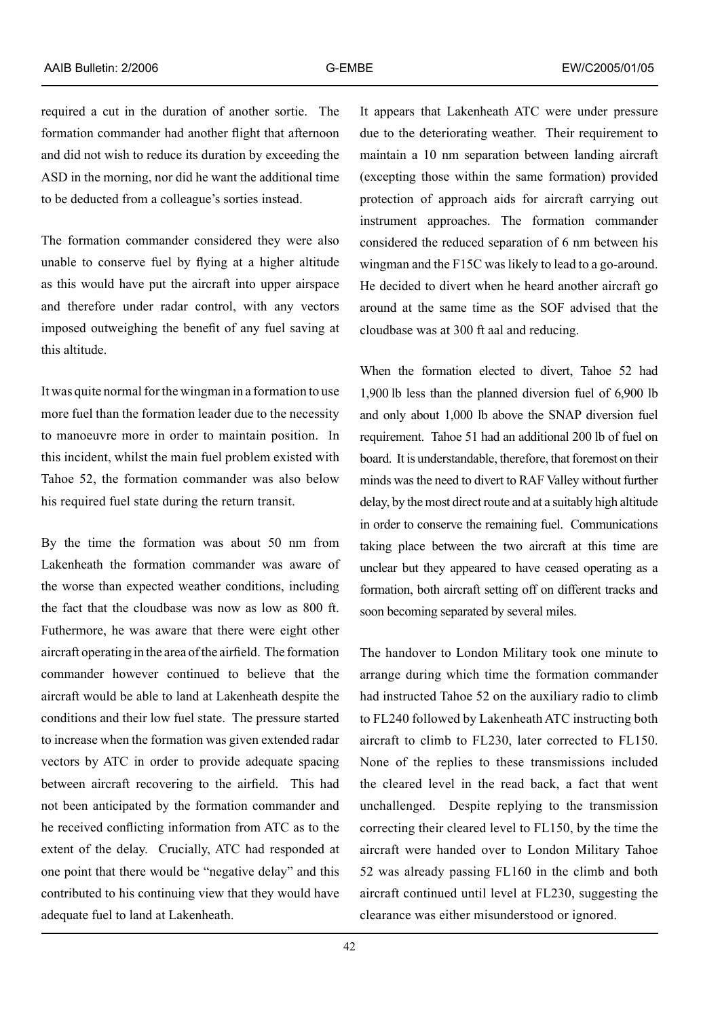required a cut in the duration of another sortie. The formation commander had another flight that afternoon and did not wish to reduce its duration by exceeding the ASD in the morning, nor did he want the additional time to be deducted from a colleague's sorties instead.

The formation commander considered they were also unable to conserve fuel by flying at a higher altitude as this would have put the aircraft into upper airspace and therefore under radar control, with any vectors imposed outweighing the benefit of any fuel saving at this altitude.

It was quite normal for the wingman in a formation to use more fuel than the formation leader due to the necessity to manoeuvre more in order to maintain position. In this incident, whilst the main fuel problem existed with Tahoe 52, the formation commander was also below his required fuel state during the return transit.

By the time the formation was about 50 nm from Lakenheath the formation commander was aware of the worse than expected weather conditions, including the fact that the cloudbase was now as low as 800 ft. Futhermore, he was aware that there were eight other aircraft operating in the area of the airfield. The formation commander however continued to believe that the aircraft would be able to land at Lakenheath despite the conditions and their low fuel state. The pressure started to increase when the formation was given extended radar vectors by ATC in order to provide adequate spacing between aircraft recovering to the airfield. This had not been anticipated by the formation commander and he received conflicting information from ATC as to the extent of the delay. Crucially, ATC had responded at one point that there would be "negative delay" and this contributed to his continuing view that they would have adequate fuel to land at Lakenheath.

It appears that Lakenheath ATC were under pressure due to the deteriorating weather. Their requirement to maintain a 10 nm separation between landing aircraft (excepting those within the same formation) provided protection of approach aids for aircraft carrying out instrument approaches. The formation commander considered the reduced separation of 6 nm between his wingman and the F15C was likely to lead to a go-around. He decided to divert when he heard another aircraft go around at the same time as the SOF advised that the cloudbase was at 300 ft aal and reducing.

When the formation elected to divert, Tahoe 52 had 1,900 lb less than the planned diversion fuel of 6,900 lb and only about 1,000 lb above the SNAP diversion fuel requirement. Tahoe 51 had an additional 200 lb of fuel on board. It is understandable, therefore, that foremost on their minds was the need to divert to RAF Valley without further delay, by the most direct route and at a suitably high altitude in order to conserve the remaining fuel. Communications taking place between the two aircraft at this time are unclear but they appeared to have ceased operating as a formation, both aircraft setting off on different tracks and soon becoming separated by several miles.

The handover to London Military took one minute to arrange during which time the formation commander had instructed Tahoe 52 on the auxiliary radio to climb to FL240 followed by Lakenheath ATC instructing both aircraft to climb to FL230, later corrected to FL150. None of the replies to these transmissions included the cleared level in the read back, a fact that went unchallenged. Despite replying to the transmission correcting their cleared level to FL150, by the time the aircraft were handed over to London Military Tahoe 52 was already passing FL160 in the climb and both aircraft continued until level at FL230, suggesting the clearance was either misunderstood or ignored.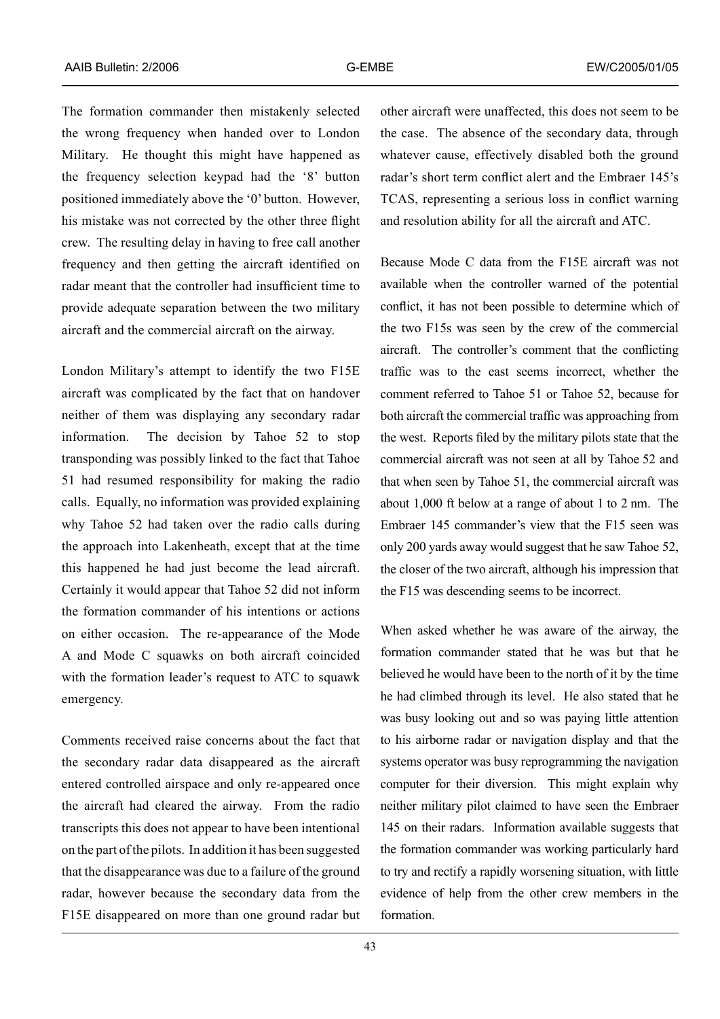The formation commander then mistakenly selected the wrong frequency when handed over to London Military. He thought this might have happened as the frequency selection keypad had the '8' button positioned immediately above the '0' button. However, his mistake was not corrected by the other three flight crew. The resulting delay in having to free call another frequency and then getting the aircraft identified on radar meant that the controller had insufficient time to provide adequate separation between the two military aircraft and the commercial aircraft on the airway.

London Military's attempt to identify the two F15E aircraft was complicated by the fact that on handover neither of them was displaying any secondary radar information. The decision by Tahoe 52 to stop transponding was possibly linked to the fact that Tahoe 51 had resumed responsibility for making the radio calls. Equally, no information was provided explaining why Tahoe 52 had taken over the radio calls during the approach into Lakenheath, except that at the time this happened he had just become the lead aircraft. Certainly it would appear that Tahoe 52 did not inform the formation commander of his intentions or actions on either occasion. The re-appearance of the Mode A and Mode C squawks on both aircraft coincided with the formation leader's request to ATC to squawk emergency.

Comments received raise concerns about the fact that the secondary radar data disappeared as the aircraft entered controlled airspace and only re-appeared once the aircraft had cleared the airway. From the radio transcripts this does not appear to have been intentional on the part of the pilots. In addition it has been suggested that the disappearance was due to a failure of the ground radar, however because the secondary data from the F15E disappeared on more than one ground radar but other aircraft were unaffected, this does not seem to be the case. The absence of the secondary data, through whatever cause, effectively disabled both the ground radar's short term conflict alert and the Embraer 145's TCAS, representing a serious loss in conflict warning and resolution ability for all the aircraft and ATC.

Because Mode C data from the F15E aircraft was not available when the controller warned of the potential conflict, it has not been possible to determine which of the two F15s was seen by the crew of the commercial aircraft. The controller's comment that the conflicting traffic was to the east seems incorrect, whether the comment referred to Tahoe 51 or Tahoe 52, because for both aircraft the commercial traffic was approaching from the west. Reports filed by the military pilots state that the commercial aircraft was not seen at all by Tahoe 52 and that when seen by Tahoe 51, the commercial aircraft was about 1,000 ft below at a range of about 1 to 2 nm. The Embraer 145 commander's view that the F15 seen was only 200 yards away would suggest that he saw Tahoe 52, the closer of the two aircraft, although his impression that the F15 was descending seems to be incorrect.

When asked whether he was aware of the airway, the formation commander stated that he was but that he believed he would have been to the north of it by the time he had climbed through its level. He also stated that he was busy looking out and so was paying little attention to his airborne radar or navigation display and that the systems operator was busy reprogramming the navigation computer for their diversion. This might explain why neither military pilot claimed to have seen the Embraer 145 on their radars. Information available suggests that the formation commander was working particularly hard to try and rectify a rapidly worsening situation, with little evidence of help from the other crew members in the formation.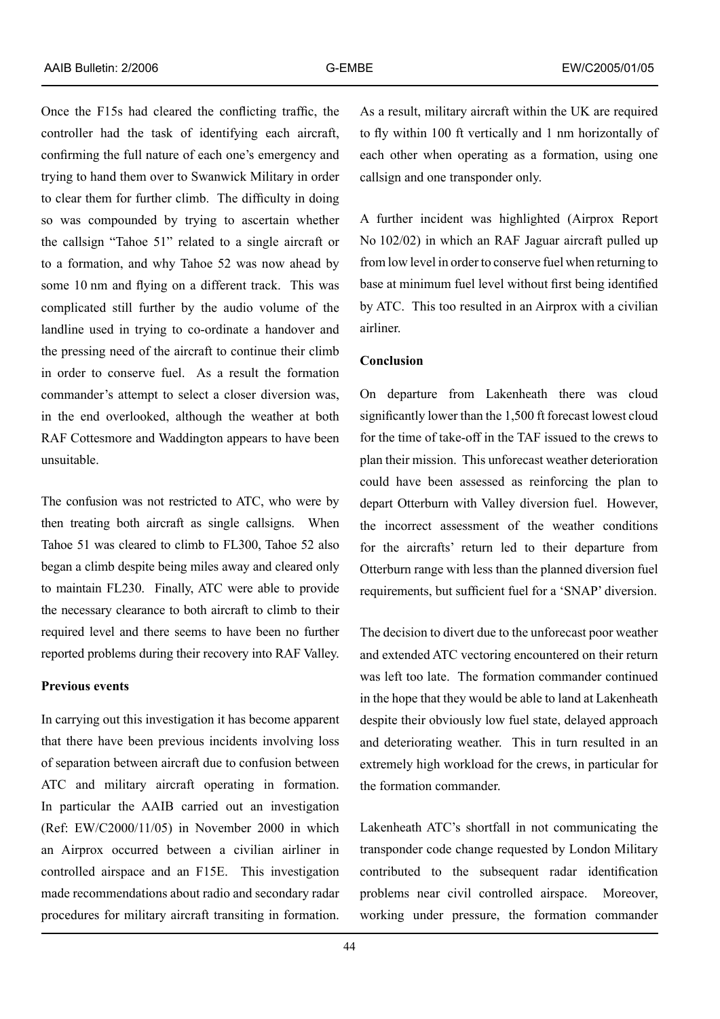Once the F15s had cleared the conflicting traffic, the controller had the task of identifying each aircraft, confirming the full nature of each one's emergency and trying to hand them over to Swanwick Military in order to clear them for further climb. The difficulty in doing so was compounded by trying to ascertain whether the callsign "Tahoe 51" related to a single aircraft or to a formation, and why Tahoe 52 was now ahead by some 10 nm and flying on a different track. This was complicated still further by the audio volume of the landline used in trying to co-ordinate a handover and the pressing need of the aircraft to continue their climb in order to conserve fuel. As a result the formation commander's attempt to select a closer diversion was, in the end overlooked, although the weather at both RAF Cottesmore and Waddington appears to have been unsuitable.

The confusion was not restricted to ATC, who were by then treating both aircraft as single callsigns. When Tahoe 51 was cleared to climb to FL300, Tahoe 52 also began a climb despite being miles away and cleared only to maintain FL230. Finally, ATC were able to provide the necessary clearance to both aircraft to climb to their required level and there seems to have been no further reported problems during their recovery into RAF Valley.

### **Previous events**

In carrying out this investigation it has become apparent that there have been previous incidents involving loss of separation between aircraft due to confusion between ATC and military aircraft operating in formation. In particular the AAIB carried out an investigation (Ref: EW/C2000/11/05) in November 2000 in which an Airprox occurred between a civilian airliner in controlled airspace and an F15E. This investigation made recommendations about radio and secondary radar procedures for military aircraft transiting in formation.

As a result, military aircraft within the UK are required to fly within 100 ft vertically and 1 nm horizontally of each other when operating as a formation, using one callsign and one transponder only.

A further incident was highlighted (Airprox Report No 102/02) in which an RAF Jaguar aircraft pulled up from low level in order to conserve fuel when returning to base at minimum fuel level without first being identified by ATC. This too resulted in an Airprox with a civilian airliner.

### **Conclusion**

On departure from Lakenheath there was cloud significantly lower than the 1,500 ft forecast lowest cloud for the time of take-off in the TAF issued to the crews to plan their mission. This unforecast weather deterioration could have been assessed as reinforcing the plan to depart Otterburn with Valley diversion fuel. However, the incorrect assessment of the weather conditions for the aircrafts' return led to their departure from Otterburn range with less than the planned diversion fuel requirements, but sufficient fuel for a 'SNAP' diversion.

The decision to divert due to the unforecast poor weather and extended ATC vectoring encountered on their return was left too late. The formation commander continued in the hope that they would be able to land at Lakenheath despite their obviously low fuel state, delayed approach and deteriorating weather. This in turn resulted in an extremely high workload for the crews, in particular for the formation commander.

Lakenheath ATC's shortfall in not communicating the transponder code change requested by London Military contributed to the subsequent radar identification problems near civil controlled airspace. Moreover, working under pressure, the formation commander